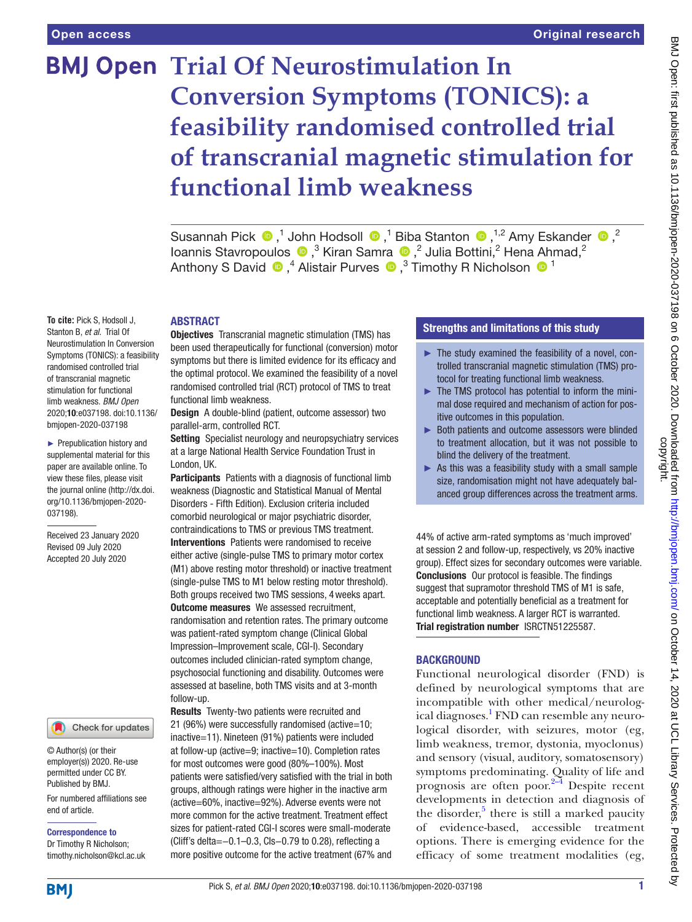# **BMJ Open Trial Of Neurostimulation In Conversion Symptoms (TONICS): a feasibility randomised controlled trial of transcranial magnetic stimulation for functional limb weakness**

SusannahPick  $\bigcirc$ ,<sup>1</sup> John Hodsoll  $\bigcirc$ ,<sup>1</sup> Biba Stanton  $\bigcirc$ ,<sup>1,2</sup> Amy Eskander  $\bigcirc$ ,<sup>2</sup> IoannisStavropoulos  $\bullet$ ,<sup>3</sup> Kiran Samra  $\bullet$ ,<sup>2</sup> Julia Bottini,<sup>2</sup> Hena Ahmad,<sup>2</sup> AnthonyS David  $\bigcirc$ ,<sup>4</sup> Alistair Purves  $\bigcirc$ ,<sup>3</sup> Timothy R Nicholson  $\bigcirc$ <sup>1</sup>

#### ABSTRACT

Objectives Transcranial magnetic stimulation (TMS) has been used therapeutically for functional (conversion) motor symptoms but there is limited evidence for its efficacy and the optimal protocol. We examined the feasibility of a novel randomised controlled trial (RCT) protocol of TMS to treat functional limb weakness.

Design A double-blind (patient, outcome assessor) two parallel-arm, controlled RCT.

Setting Specialist neurology and neuropsychiatry services at a large National Health Service Foundation Trust in London, UK.

Participants Patients with a diagnosis of functional limb weakness (Diagnostic and Statistical Manual of Mental Disorders - Fifth Edition). Exclusion criteria included comorbid neurological or major psychiatric disorder, contraindications to TMS or previous TMS treatment. Interventions Patients were randomised to receive either active (single-pulse TMS to primary motor cortex (M1) above resting motor threshold) or inactive treatment (single-pulse TMS to M1 below resting motor threshold). Both groups received two TMS sessions, 4weeks apart. **Outcome measures** We assessed recruitment, randomisation and retention rates. The primary outcome was patient-rated symptom change (Clinical Global Impression–Improvement scale, CGI-I). Secondary outcomes included clinician-rated symptom change, psychosocial functioning and disability. Outcomes were assessed at baseline, both TMS visits and at 3-month follow-up.

Results Twenty-two patients were recruited and 21 (96%) were successfully randomised (active=10; inactive=11). Nineteen (91%) patients were included at follow-up (active=9; inactive=10). Completion rates for most outcomes were good (80%–100%). Most patients were satisfied/very satisfied with the trial in both groups, although ratings were higher in the inactive arm (active=60%, inactive=92%). Adverse events were not more common for the active treatment. Treatment effect sizes for patient-rated CGI-I scores were small-moderate (Cliff's delta=−0.1–0.3, CIs−0.79 to 0.28), reflecting a more positive outcome for the active treatment (67% and

# Strengths and limitations of this study

- ► The study examined the feasibility of a novel, controlled transcranial magnetic stimulation (TMS) protocol for treating functional limb weakness.
- ► The TMS protocol has potential to inform the minimal dose required and mechanism of action for positive outcomes in this population.
- ► Both patients and outcome assessors were blinded to treatment allocation, but it was not possible to blind the delivery of the treatment.
- $\triangleright$  As this was a feasibility study with a small sample size, randomisation might not have adequately balanced group differences across the treatment arms.

44% of active arm-rated symptoms as 'much improved' at session 2 and follow-up, respectively, vs 20% inactive group). Effect sizes for secondary outcomes were variable. Conclusions Our protocol is feasible. The findings suggest that supramotor threshold TMS of M1 is safe, acceptable and potentially beneficial as a treatment for functional limb weakness. A larger RCT is warranted. Trial registration number [ISRCTN51225587.](ISRCTN51225587)

#### BACKGROUND

Functional neurological disorder (FND) is defined by neurological symptoms that are incompatible with other medical/neurolog-ical diagnoses.<sup>[1](#page-9-0)</sup> FND can resemble any neurological disorder, with seizures, motor (eg, limb weakness, tremor, dystonia, myoclonus) and sensory (visual, auditory, somatosensory) symptoms predominating. Quality of life and prognosis are often poor.[2–4](#page-9-1) Despite recent developments in detection and diagnosis of the disorder, $5$  there is still a marked paucity of evidence-based, accessible treatment options. There is emerging evidence for the efficacy of some treatment modalities (eg,

**To cite:** Pick S, Hodsoll J, Stanton B, *et al*. Trial Of Neurostimulation In Conversion Symptoms (TONICS): a feasibility randomised controlled trial of transcranial magnetic stimulation for functional limb weakness. *BMJ Open* 2020;10:e037198. doi:10.1136/ bmjopen-2020-037198

► Prepublication history and supplemental material for this paper are available online. To view these files, please visit the journal online (http://dx.doi. org/10.1136/bmjopen-2020- 037198).

Received 23 January 2020 Revised 09 July 2020 Accepted 20 July 2020

#### Check for updates

© Author(s) (or their employer(s)) 2020. Re-use permitted under CC BY. Published by BMJ.

For numbered affiliations see end of article.

Correspondence to Dr Timothy R Nicholson;

timothy.nicholson@kcl.ac.uk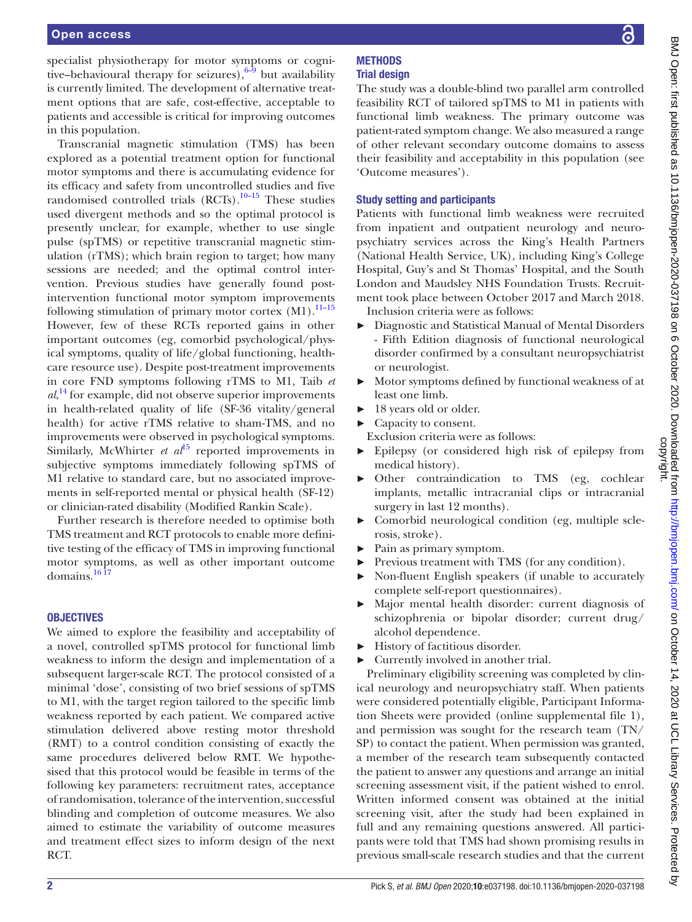specialist physiotherapy for motor symptoms or cognitive–behavioural therapy for seizures), $6-9$  but availability is currently limited. The development of alternative treatment options that are safe, cost-effective, acceptable to patients and accessible is critical for improving outcomes in this population.

Transcranial magnetic stimulation (TMS) has been explored as a potential treatment option for functional motor symptoms and there is accumulating evidence for its efficacy and safety from uncontrolled studies and five randomised controlled trials  $(RCTs).^{10-15}$  These studies used divergent methods and so the optimal protocol is presently unclear, for example, whether to use single pulse (spTMS) or repetitive transcranial magnetic stimulation (rTMS); which brain region to target; how many sessions are needed; and the optimal control intervention. Previous studies have generally found postintervention functional motor symptom improvements following stimulation of primary motor cortex  $(M1)$ .<sup>11–15</sup> However, few of these RCTs reported gains in other important outcomes (eg, comorbid psychological/physical symptoms, quality of life/global functioning, healthcare resource use). Despite post-treatment improvements in core FND symptoms following rTMS to M1, Taib *et al*, [14](#page-10-1) for example, did not observe superior improvements in health-related quality of life (SF-36 vitality/general health) for active rTMS relative to sham-TMS, and no improvements were observed in psychological symptoms. Similarly, McWhirter *et al*<sup>15</sup> reported improvements in subjective symptoms immediately following spTMS of M1 relative to standard care, but no associated improvements in self-reported mental or physical health (SF-12) or clinician-rated disability (Modified Rankin Scale).

Further research is therefore needed to optimise both TMS treatment and RCT protocols to enable more definitive testing of the efficacy of TMS in improving functional motor symptoms, as well as other important outcome domains[.16 17](#page-10-3)

# **OBJECTIVES**

We aimed to explore the feasibility and acceptability of a novel, controlled spTMS protocol for functional limb weakness to inform the design and implementation of a subsequent larger-scale RCT. The protocol consisted of a minimal 'dose', consisting of two brief sessions of spTMS to M1, with the target region tailored to the specific limb weakness reported by each patient. We compared active stimulation delivered above resting motor threshold (RMT) to a control condition consisting of exactly the same procedures delivered below RMT. We hypothesised that this protocol would be feasible in terms of the following key parameters: recruitment rates, acceptance of randomisation, tolerance of the intervention, successful blinding and completion of outcome measures. We also aimed to estimate the variability of outcome measures and treatment effect sizes to inform design of the next RCT.

#### **METHODS** Trial design

The study was a double-blind two parallel arm controlled feasibility RCT of tailored spTMS to M1 in patients with functional limb weakness. The primary outcome was patient-rated symptom change. We also measured a range of other relevant secondary outcome domains to assess their feasibility and acceptability in this population (see 'Outcome measures').

# Study setting and participants

Patients with functional limb weakness were recruited from inpatient and outpatient neurology and neuropsychiatry services across the King's Health Partners (National Health Service, UK), including King's College Hospital, Guy's and St Thomas' Hospital, and the South London and Maudsley NHS Foundation Trusts. Recruitment took place between October 2017 and March 2018. Inclusion criteria were as follows:

- ► Diagnostic and Statistical Manual of Mental Disorders - Fifth Edition diagnosis of functional neurological disorder confirmed by a consultant neuropsychiatrist or neurologist.
- ► Motor symptoms defined by functional weakness of at least one limb.
- 18 years old or older.
- ► Capacity to consent.
- Exclusion criteria were as follows:
- Epilepsy (or considered high risk of epilepsy from medical history).
- ► Other contraindication to TMS (eg, cochlear implants, metallic intracranial clips or intracranial surgery in last 12 months).
- ► Comorbid neurological condition (eg, multiple sclerosis, stroke).
- ► Pain as primary symptom.
- ► Previous treatment with TMS (for any condition).
- Non-fluent English speakers (if unable to accurately complete self-report questionnaires).
- ► Major mental health disorder: current diagnosis of schizophrenia or bipolar disorder; current drug/ alcohol dependence.
- ► History of factitious disorder.
- ► Currently involved in another trial.

Preliminary eligibility screening was completed by clinical neurology and neuropsychiatry staff. When patients were considered potentially eligible, Participant Information Sheets were provided ([online supplemental file 1\)](https://dx.doi.org/10.1136/bmjopen-2020-037198), and permission was sought for the research team (TN/ SP) to contact the patient. When permission was granted, a member of the research team subsequently contacted the patient to answer any questions and arrange an initial screening assessment visit, if the patient wished to enrol. Written informed consent was obtained at the initial screening visit, after the study had been explained in full and any remaining questions answered. All participants were told that TMS had shown promising results in previous small-scale research studies and that the current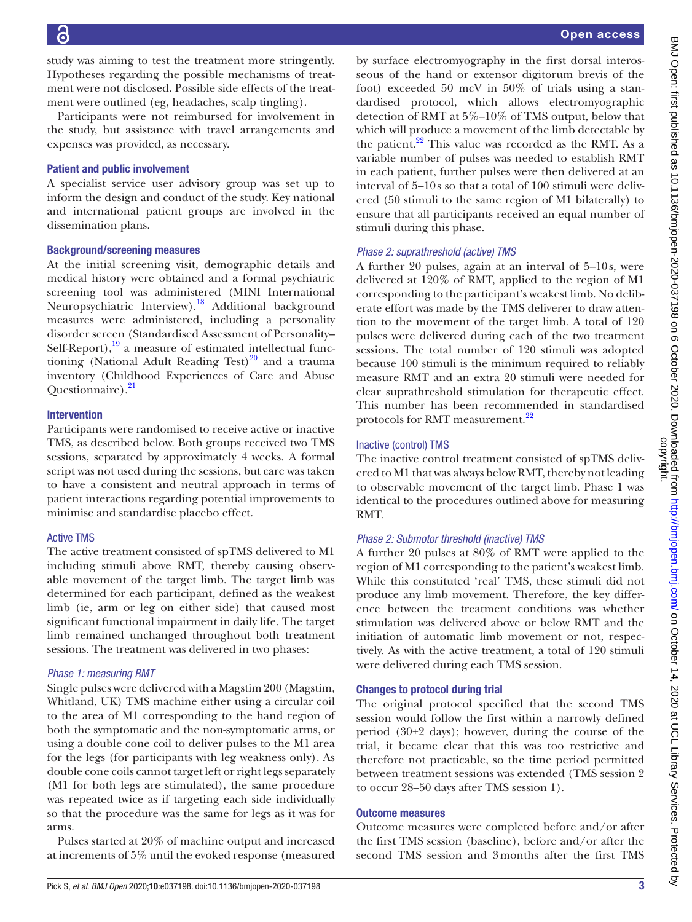study was aiming to test the treatment more stringently. Hypotheses regarding the possible mechanisms of treatment were not disclosed. Possible side effects of the treatment were outlined (eg, headaches, scalp tingling).

Participants were not reimbursed for involvement in the study, but assistance with travel arrangements and expenses was provided, as necessary.

#### Patient and public involvement

A specialist service user advisory group was set up to inform the design and conduct of the study. Key national and international patient groups are involved in the dissemination plans.

#### Background/screening measures

At the initial screening visit, demographic details and medical history were obtained and a formal psychiatric screening tool was administered (MINI International Neuropsychiatric Interview).<sup>[18](#page-10-4)</sup> Additional background measures were administered, including a personality disorder screen (Standardised Assessment of Personality– Self-Report), $19$  a measure of estimated intellectual functioning (National Adult Reading Test) $^{20}$  and a trauma inventory (Childhood Experiences of Care and Abuse Questionnaire).<sup>[21](#page-10-7)</sup>

#### Intervention

Participants were randomised to receive active or inactive TMS, as described below. Both groups received two TMS sessions, separated by approximately 4 weeks. A formal script was not used during the sessions, but care was taken to have a consistent and neutral approach in terms of patient interactions regarding potential improvements to minimise and standardise placebo effect.

# Active TMS

The active treatment consisted of spTMS delivered to M1 including stimuli above RMT, thereby causing observable movement of the target limb. The target limb was determined for each participant, defined as the weakest limb (ie, arm or leg on either side) that caused most significant functional impairment in daily life. The target limb remained unchanged throughout both treatment sessions. The treatment was delivered in two phases:

#### *Phase 1: measuring RMT*

Single pulses were delivered with a Magstim 200 (Magstim, Whitland, UK) TMS machine either using a circular coil to the area of M1 corresponding to the hand region of both the symptomatic and the non-symptomatic arms, or using a double cone coil to deliver pulses to the M1 area for the legs (for participants with leg weakness only). As double cone coils cannot target left or right legs separately (M1 for both legs are stimulated), the same procedure was repeated twice as if targeting each side individually so that the procedure was the same for legs as it was for arms.

Pulses started at 20% of machine output and increased at increments of 5% until the evoked response (measured

by surface electromyography in the first dorsal interosseous of the hand or extensor digitorum brevis of the foot) exceeded 50 mcV in 50% of trials using a standardised protocol, which allows electromyographic detection of RMT at 5%–10% of TMS output, below that which will produce a movement of the limb detectable by the patient. $^{22}$  This value was recorded as the RMT. As a variable number of pulses was needed to establish RMT in each patient, further pulses were then delivered at an interval of 5–10s so that a total of 100 stimuli were delivered (50 stimuli to the same region of M1 bilaterally) to ensure that all participants received an equal number of stimuli during this phase.

# *Phase 2: suprathreshold (active) TMS*

A further 20 pulses, again at an interval of 5–10s, were delivered at 120% of RMT, applied to the region of M1 corresponding to the participant's weakest limb. No deliberate effort was made by the TMS deliverer to draw attention to the movement of the target limb. A total of 120 pulses were delivered during each of the two treatment sessions. The total number of 120 stimuli was adopted because 100 stimuli is the minimum required to reliably measure RMT and an extra 20 stimuli were needed for clear suprathreshold stimulation for therapeutic effect. This number has been recommended in standardised protocols for RMT measurement.<sup>[22](#page-10-8)</sup>

# Inactive (control) TMS

The inactive control treatment consisted of spTMS delivered to M1 that was always below RMT, thereby not leading to observable movement of the target limb. Phase 1 was identical to the procedures outlined above for measuring RMT.

# *Phase 2: Submotor threshold (inactive) TMS*

A further 20 pulses at 80% of RMT were applied to the region of M1 corresponding to the patient's weakest limb. While this constituted 'real' TMS, these stimuli did not produce any limb movement. Therefore, the key difference between the treatment conditions was whether stimulation was delivered above or below RMT and the initiation of automatic limb movement or not, respectively. As with the active treatment, a total of 120 stimuli were delivered during each TMS session.

# Changes to protocol during trial

The original protocol specified that the second TMS session would follow the first within a narrowly defined period (30±2 days); however, during the course of the trial, it became clear that this was too restrictive and therefore not practicable, so the time period permitted between treatment sessions was extended (TMS session 2 to occur 28–50 days after TMS session 1).

# Outcome measures

Outcome measures were completed before and/or after the first TMS session (baseline), before and/or after the second TMS session and 3months after the first TMS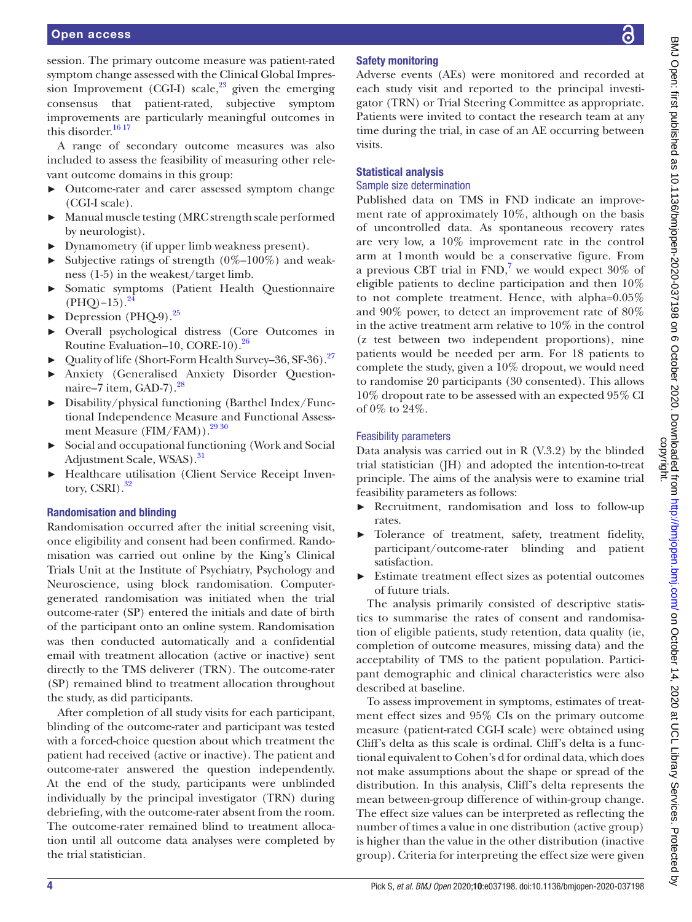session. The primary outcome measure was patient-rated symptom change assessed with the Clinical Global Impression Improvement (CGI-I) scale, $^{23}$  given the emerging consensus that patient-rated, subjective symptom improvements are particularly meaningful outcomes in this disorder. [16 17](#page-10-3)

A range of secondary outcome measures was also included to assess the feasibility of measuring other relevant outcome domains in this group:

- ► Outcome-rater and carer assessed symptom change (CGI-I scale).
- Manual muscle testing (MRC strength scale performed by neurologist).
- ► Dynamometry (if upper limb weakness present).
- ► Subjective ratings of strength  $(0\%$ – $100\%)$  and weakness (1-5) in the weakest/target limb.
- ► Somatic symptoms (Patient Health Questionnaire  $(PHO)$ –15).<sup>24</sup>
- $\blacktriangleright$  Depression (PHQ-9).<sup>25</sup>
- ► Overall psychological distress (Core Outcomes in Routine Evaluation–10, CORE-10).<sup>26</sup>
- ► Quality of life (Short-Form Health Survey–36, SF-36).[27](#page-10-13)
- ► Anxiety (Generalised Anxiety Disorder Questionnaire–7 item, GAD-7 $1.28$  $1.28$
- ► Disability/physical functioning (Barthel Index/Functional Independence Measure and Functional Assess-ment Measure (FIM/FAM)).<sup>[29 30](#page-10-15)</sup>
- ► Social and occupational functioning (Work and Social Adjustment Scale, WSAS).<sup>[31](#page-10-16)</sup>
- ► Healthcare utilisation (Client Service Receipt Inventory, CSRI). $^{32}$  $^{32}$  $^{32}$

# Randomisation and blinding

Randomisation occurred after the initial screening visit, once eligibility and consent had been confirmed. Randomisation was carried out online by the King's Clinical Trials Unit at the Institute of Psychiatry, Psychology and Neuroscience, using block randomisation. Computergenerated randomisation was initiated when the trial outcome-rater (SP) entered the initials and date of birth of the participant onto an online system. Randomisation was then conducted automatically and a confidential email with treatment allocation (active or inactive) sent directly to the TMS deliverer (TRN). The outcome-rater (SP) remained blind to treatment allocation throughout the study, as did participants.

After completion of all study visits for each participant, blinding of the outcome-rater and participant was tested with a forced-choice question about which treatment the patient had received (active or inactive). The patient and outcome-rater answered the question independently. At the end of the study, participants were unblinded individually by the principal investigator (TRN) during debriefing, with the outcome-rater absent from the room. The outcome-rater remained blind to treatment allocation until all outcome data analyses were completed by the trial statistician.

# Safety monitoring

Adverse events (AEs) were monitored and recorded at each study visit and reported to the principal investigator (TRN) or Trial Steering Committee as appropriate. Patients were invited to contact the research team at any time during the trial, in case of an AE occurring between visits.

# Statistical analysis

#### Sample size determination

Published data on TMS in FND indicate an improvement rate of approximately 10%, although on the basis of uncontrolled data. As spontaneous recovery rates are very low, a 10% improvement rate in the control arm at 1month would be a conservative figure. From a previous CBT trial in  $FND<sub>l</sub><sup>7</sup>$  $FND<sub>l</sub><sup>7</sup>$  $FND<sub>l</sub><sup>7</sup>$  we would expect 30% of eligible patients to decline participation and then 10% to not complete treatment. Hence, with alpha=0.05% and 90% power, to detect an improvement rate of 80% in the active treatment arm relative to 10% in the control (z test between two independent proportions), nine patients would be needed per arm. For 18 patients to complete the study, given a 10% dropout, we would need to randomise 20 participants (30 consented). This allows 10% dropout rate to be assessed with an expected 95% CI of 0% to 24%.

# Feasibility parameters

Data analysis was carried out in R (V.3.2) by the blinded trial statistician (JH) and adopted the intention-to-treat principle. The aims of the analysis were to examine trial feasibility parameters as follows:

- Recruitment, randomisation and loss to follow-up rates.
- Tolerance of treatment, safety, treatment fidelity, participant/outcome-rater blinding and patient satisfaction.
- Estimate treatment effect sizes as potential outcomes of future trials.

The analysis primarily consisted of descriptive statistics to summarise the rates of consent and randomisation of eligible patients, study retention, data quality (ie, completion of outcome measures, missing data) and the acceptability of TMS to the patient population. Participant demographic and clinical characteristics were also described at baseline.

To assess improvement in symptoms, estimates of treatment effect sizes and 95% CIs on the primary outcome measure (patient-rated CGI-I scale) were obtained using Cliff's delta as this scale is ordinal. Cliff's delta is a functional equivalent to Cohen's d for ordinal data, which does not make assumptions about the shape or spread of the distribution. In this analysis, Cliff's delta represents the mean between-group difference of within-group change. The effect size values can be interpreted as reflecting the number of times a value in one distribution (active group) is higher than the value in the other distribution (inactive group). Criteria for interpreting the effect size were given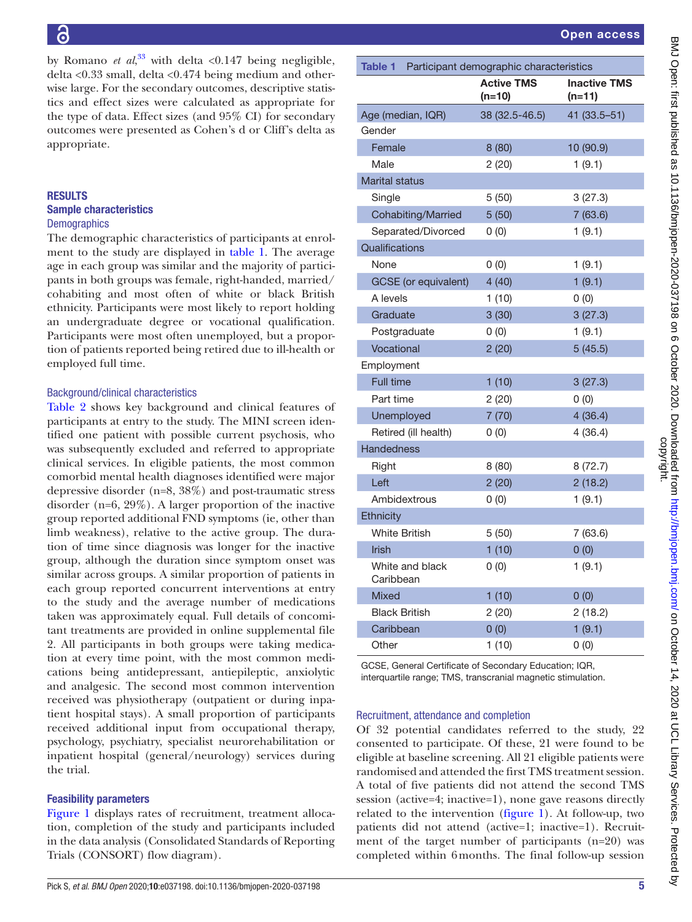by Romano *et al*,<sup>[33](#page-10-18)</sup> with delta <0.147 being negligible, delta <0.33 small, delta <0.474 being medium and otherwise large. For the secondary outcomes, descriptive statistics and effect sizes were calculated as appropriate for the type of data. Effect sizes (and 95% CI) for secondary outcomes were presented as Cohen's d or Cliff's delta as appropriate.

#### RESULTS Sample characteristics **Demographics**

The demographic characteristics of participants at enrolment to the study are displayed in [table](#page-4-0) 1. The average age in each group was similar and the majority of participants in both groups was female, right-handed, married/ cohabiting and most often of white or black British ethnicity. Participants were most likely to report holding an undergraduate degree or vocational qualification. Participants were most often unemployed, but a proportion of patients reported being retired due to ill-health or employed full time.

#### Background/clinical characteristics

[Table](#page-5-0) 2 shows key background and clinical features of participants at entry to the study. The MINI screen identified one patient with possible current psychosis, who was subsequently excluded and referred to appropriate clinical services. In eligible patients, the most common comorbid mental health diagnoses identified were major depressive disorder (n=8, 38%) and post-traumatic stress disorder (n=6, 29%). A larger proportion of the inactive group reported additional FND symptoms (ie, other than limb weakness), relative to the active group. The duration of time since diagnosis was longer for the inactive group, although the duration since symptom onset was similar across groups. A similar proportion of patients in each group reported concurrent interventions at entry to the study and the average number of medications taken was approximately equal. Full details of concomitant treatments are provided in [online supplemental file](https://dx.doi.org/10.1136/bmjopen-2020-037198) [2.](https://dx.doi.org/10.1136/bmjopen-2020-037198) All participants in both groups were taking medication at every time point, with the most common medications being antidepressant, antiepileptic, anxiolytic and analgesic. The second most common intervention received was physiotherapy (outpatient or during inpatient hospital stays). A small proportion of participants received additional input from occupational therapy, psychology, psychiatry, specialist neurorehabilitation or inpatient hospital (general/neurology) services during the trial.

# Feasibility parameters

[Figure](#page-6-0) 1 displays rates of recruitment, treatment allocation, completion of the study and participants included in the data analysis (Consolidated Standards of Reporting Trials (CONSORT) flow diagram).

<span id="page-4-0"></span>

| <b>Table 1</b> Participant demographic characteristics |                               |                                 |  |
|--------------------------------------------------------|-------------------------------|---------------------------------|--|
|                                                        | <b>Active TMS</b><br>$(n=10)$ | <b>Inactive TMS</b><br>$(n=11)$ |  |
| Age (median, IQR)                                      | 38 (32.5-46.5)                | 41 (33.5 - 51)                  |  |
| Gender                                                 |                               |                                 |  |
| Female                                                 | 8(80)                         | 10 (90.9)                       |  |
| Male                                                   | 2(20)                         | 1(9.1)                          |  |
| <b>Marital status</b>                                  |                               |                                 |  |
| Single                                                 | 5(50)                         | 3(27.3)                         |  |
| Cohabiting/Married                                     | 5(50)                         | 7(63.6)                         |  |
| Separated/Divorced                                     | 0(0)                          | 1(9.1)                          |  |
| Qualifications                                         |                               |                                 |  |
| None                                                   | 0(0)                          | 1(9.1)                          |  |
| <b>GCSE</b> (or equivalent)                            | 4(40)                         | 1(9.1)                          |  |
| A levels                                               | 1(10)                         | 0(0)                            |  |
| Graduate                                               | 3(30)                         | 3(27.3)                         |  |
| Postgraduate                                           | 0(0)                          | 1(9.1)                          |  |
| Vocational                                             | 2(20)                         | 5(45.5)                         |  |
| Employment                                             |                               |                                 |  |
| Full time                                              | 1(10)                         | 3(27.3)                         |  |
| Part time                                              | 2(20)                         | 0(0)                            |  |
| Unemployed                                             | 7(70)                         | 4(36.4)                         |  |
| Retired (ill health)                                   | 0(0)                          | 4(36.4)                         |  |
| <b>Handedness</b>                                      |                               |                                 |  |
| Right                                                  | 8(80)                         | 8 (72.7)                        |  |
| Left                                                   | 2(20)                         | 2(18.2)                         |  |
| Ambidextrous                                           | 0(0)                          | 1(9.1)                          |  |
| Ethnicity                                              |                               |                                 |  |
| White British                                          | 5(50)                         | 7(63.6)                         |  |
| <b>Irish</b>                                           | 1(10)                         | 0(0)                            |  |
| White and black<br>Caribbean                           | 0(0)                          | 1(9.1)                          |  |
| Mixed                                                  | 1(10)                         | 0(0)                            |  |
| <b>Black British</b>                                   | 2(20)                         | 2(18.2)                         |  |
| Caribbean                                              | 0(0)                          | 1(9.1)                          |  |
| Other                                                  | 1(10)                         | 0(0)                            |  |
| GCSE, General Certificate of Secondary Education; IQR, |                               |                                 |  |

interquartile range; TMS, transcranial magnetic stimulation.

#### Recruitment, attendance and completion

Of 32 potential candidates referred to the study, 22 consented to participate. Of these, 21 were found to be eligible at baseline screening. All 21 eligible patients were randomised and attended the first TMS treatment session. A total of five patients did not attend the second TMS session (active=4; inactive=1), none gave reasons directly related to the intervention ([figure](#page-6-0) 1). At follow-up, two patients did not attend (active=1; inactive=1). Recruitment of the target number of participants (n=20) was completed within 6months. The final follow-up session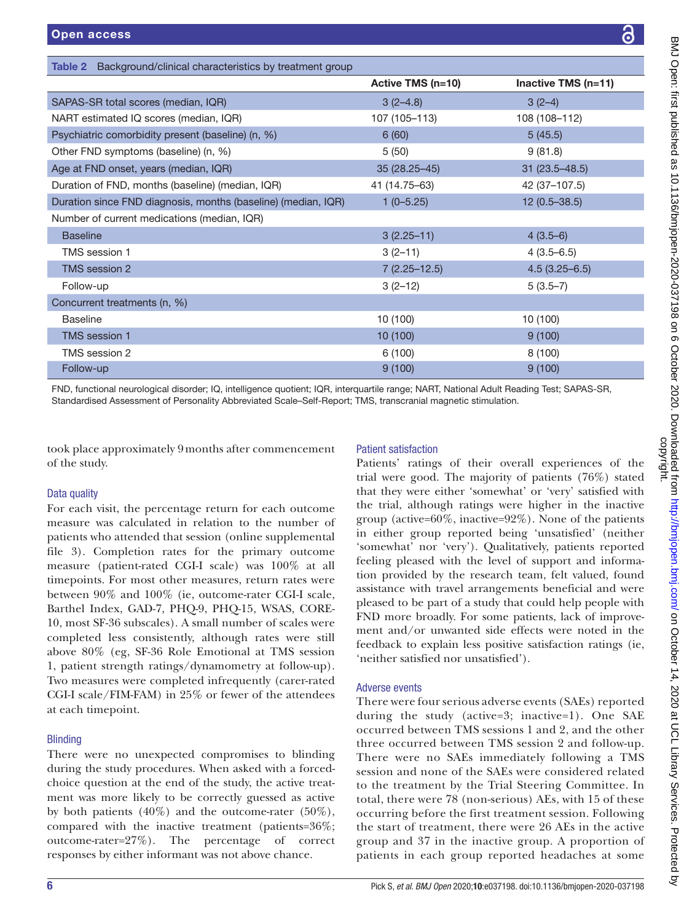<span id="page-5-0"></span>

| Background/clinical characteristics by treatment group<br>Table 2 |                   |                     |  |
|-------------------------------------------------------------------|-------------------|---------------------|--|
|                                                                   | Active TMS (n=10) | Inactive TMS (n=11) |  |
| SAPAS-SR total scores (median, IQR)                               | $3(2-4.8)$        | $3(2-4)$            |  |
| NART estimated IQ scores (median, IQR)                            | 107 (105-113)     | 108 (108-112)       |  |
| Psychiatric comorbidity present (baseline) (n, %)                 | 6(60)             | 5(45.5)             |  |
| Other FND symptoms (baseline) (n, %)                              | 5(50)             | 9(81.8)             |  |
| Age at FND onset, years (median, IQR)                             | $35(28.25 - 45)$  | $31(23.5 - 48.5)$   |  |
| Duration of FND, months (baseline) (median, IQR)                  | 41 (14.75-63)     | 42 (37-107.5)       |  |
| Duration since FND diagnosis, months (baseline) (median, IQR)     | $1(0-5.25)$       | $12(0.5 - 38.5)$    |  |
| Number of current medications (median, IQR)                       |                   |                     |  |
| <b>Baseline</b>                                                   | $3(2.25 - 11)$    | $4(3.5-6)$          |  |
| TMS session 1                                                     | $3(2-11)$         | $4(3.5-6.5)$        |  |
| TMS session 2                                                     | $7(2.25 - 12.5)$  | $4.5(3.25 - 6.5)$   |  |
| Follow-up                                                         | $3(2-12)$         | $5(3.5-7)$          |  |
| Concurrent treatments (n, %)                                      |                   |                     |  |
| <b>Baseline</b>                                                   | 10 (100)          | 10 (100)            |  |
| <b>TMS</b> session 1                                              | 10(100)           | 9(100)              |  |
| TMS session 2                                                     | 6(100)            | 8(100)              |  |
| Follow-up                                                         | 9(100)            | 9(100)              |  |

FND, functional neurological disorder; IQ, intelligence quotient; IQR, interquartile range; NART, National Adult Reading Test; SAPAS-SR, Standardised Assessment of Personality Abbreviated Scale–Self-Report; TMS, transcranial magnetic stimulation.

took place approximately 9months after commencement of the study.

#### Data quality

For each visit, the percentage return for each outcome measure was calculated in relation to the number of patients who attended that session ([online supplemental](https://dx.doi.org/10.1136/bmjopen-2020-037198) [file 3](https://dx.doi.org/10.1136/bmjopen-2020-037198)). Completion rates for the primary outcome measure (patient-rated CGI-I scale) was 100% at all timepoints. For most other measures, return rates were between 90% and 100% (ie, outcome-rater CGI-I scale, Barthel Index, GAD-7, PHQ-9, PHQ-15, WSAS, CORE-10, most SF-36 subscales). A small number of scales were completed less consistently, although rates were still above 80% (eg, SF-36 Role Emotional at TMS session 1, patient strength ratings/dynamometry at follow-up). Two measures were completed infrequently (carer-rated CGI-I scale/FIM-FAM) in 25% or fewer of the attendees at each timepoint.

# **Blinding**

There were no unexpected compromises to blinding during the study procedures. When asked with a forcedchoice question at the end of the study, the active treatment was more likely to be correctly guessed as active by both patients  $(40\%)$  and the outcome-rater  $(50\%),$ compared with the inactive treatment (patients=36%; outcome-rater=27%). The percentage of correct responses by either informant was not above chance.

# Patient satisfaction

Patients' ratings of their overall experiences of the trial were good. The majority of patients (76%) stated that they were either 'somewhat' or 'very' satisfied with the trial, although ratings were higher in the inactive group (active= $60\%$ , inactive= $92\%$ ). None of the patients in either group reported being 'unsatisfied' (neither 'somewhat' nor 'very'). Qualitatively, patients reported feeling pleased with the level of support and information provided by the research team, felt valued, found assistance with travel arrangements beneficial and were pleased to be part of a study that could help people with FND more broadly. For some patients, lack of improvement and/or unwanted side effects were noted in the feedback to explain less positive satisfaction ratings (ie, 'neither satisfied nor unsatisfied').

#### Adverse events

There were four serious adverse events (SAEs) reported during the study (active=3; inactive=1). One SAE occurred between TMS sessions 1 and 2, and the other three occurred between TMS session 2 and follow-up. There were no SAEs immediately following a TMS session and none of the SAEs were considered related to the treatment by the Trial Steering Committee. In total, there were 78 (non-serious) AEs, with 15 of these occurring before the first treatment session. Following the start of treatment, there were 26 AEs in the active group and 37 in the inactive group. A proportion of patients in each group reported headaches at some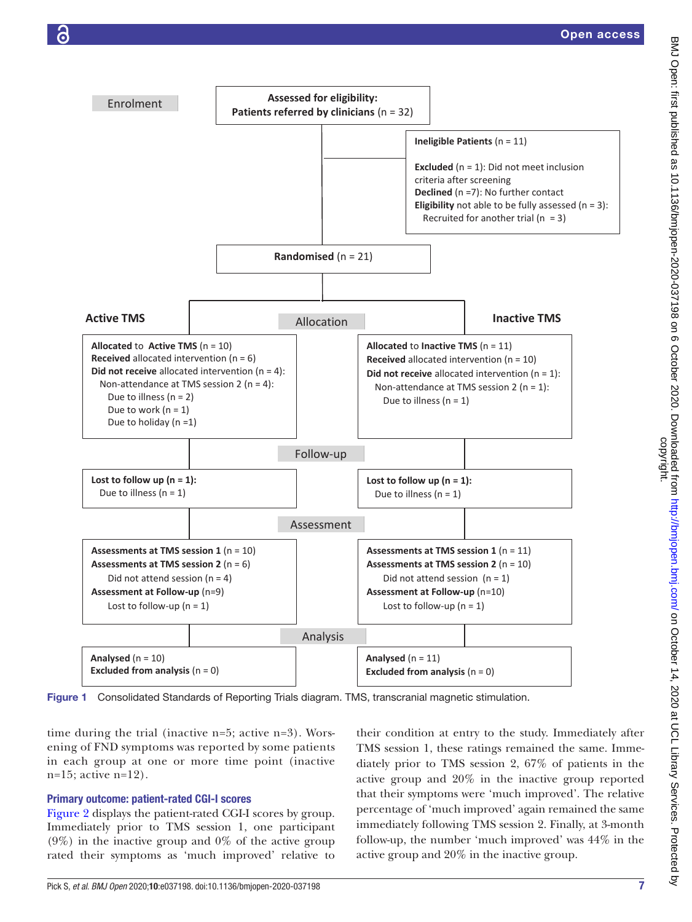



<span id="page-6-0"></span>Figure 1 Consolidated Standards of Reporting Trials diagram. TMS, transcranial magnetic stimulation.

time during the trial (inactive n=5; active n=3). Worsening of FND symptoms was reported by some patients in each group at one or more time point (inactive  $n=15$ ; active  $n=12$ ).

# Primary outcome: patient-rated CGI-I scores

[Figure](#page-7-0) 2 displays the patient-rated CGI-I scores by group. Immediately prior to TMS session 1, one participant  $(9\%)$  in the inactive group and  $0\%$  of the active group rated their symptoms as 'much improved' relative to

their condition at entry to the study. Immediately after TMS session 1, these ratings remained the same. Immediately prior to TMS session 2, 67% of patients in the active group and 20% in the inactive group reported that their symptoms were 'much improved'. The relative percentage of 'much improved' again remained the same immediately following TMS session 2. Finally, at 3-month follow-up, the number 'much improved' was 44% in the active group and 20% in the inactive group.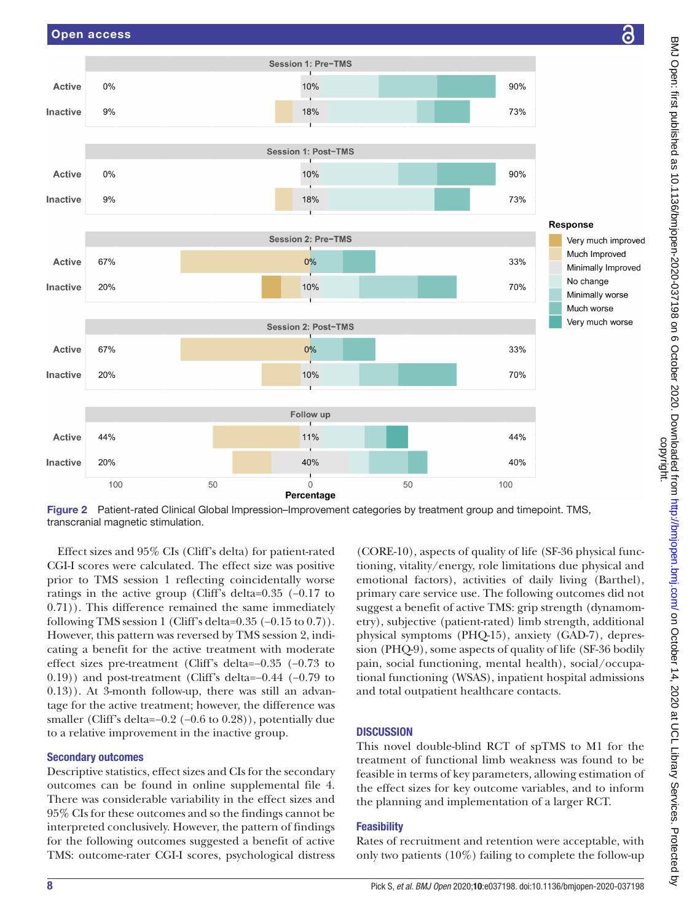

<span id="page-7-0"></span>Figure 2 Patient-rated Clinical Global Impression–Improvement categories by treatment group and timepoint. TMS, transcranial magnetic stimulation.

Effect sizes and 95% CIs (Cliff's delta) for patient-rated CGI-I scores were calculated. The effect size was positive prior to TMS session 1 reflecting coincidentally worse ratings in the active group (Cliff's delta=0.35 (−0.17 to 0.71)). This difference remained the same immediately following TMS session 1 (Cliff's delta= $0.35$  ( $-0.15$  to  $0.7$ )). However, this pattern was reversed by TMS session 2, indicating a benefit for the active treatment with moderate effect sizes pre-treatment (Cliff's delta=−0.35 (−0.73 to 0.19)) and post-treatment (Cliff's delta=−0.44 (−0.79 to 0.13)). At 3-month follow-up, there was still an advantage for the active treatment; however, the difference was smaller (Cliff's delta=−0.2 (−0.6 to 0.28)), potentially due to a relative improvement in the inactive group.

# Secondary outcomes

Descriptive statistics, effect sizes and CIs for the secondary outcomes can be found in [online supplemental file 4.](https://dx.doi.org/10.1136/bmjopen-2020-037198) There was considerable variability in the effect sizes and 95% CIs for these outcomes and so the findings cannot be interpreted conclusively. However, the pattern of findings for the following outcomes suggested a benefit of active TMS: outcome-rater CGI-I scores, psychological distress

(CORE-10), aspects of quality of life (SF-36 physical functioning, vitality/energy, role limitations due physical and emotional factors), activities of daily living (Barthel), primary care service use. The following outcomes did not suggest a benefit of active TMS: grip strength (dynamometry), subjective (patient-rated) limb strength, additional physical symptoms (PHQ-15), anxiety (GAD-7), depression (PHQ-9), some aspects of quality of life (SF-36 bodily pain, social functioning, mental health), social/occupational functioning (WSAS), inpatient hospital admissions and total outpatient healthcare contacts.

# **DISCUSSION**

This novel double-blind RCT of spTMS to M1 for the treatment of functional limb weakness was found to be feasible in terms of key parameters, allowing estimation of the effect sizes for key outcome variables, and to inform the planning and implementation of a larger RCT.

# **Feasibility**

Rates of recruitment and retention were acceptable, with only two patients (10%) failing to complete the follow-up

ဥ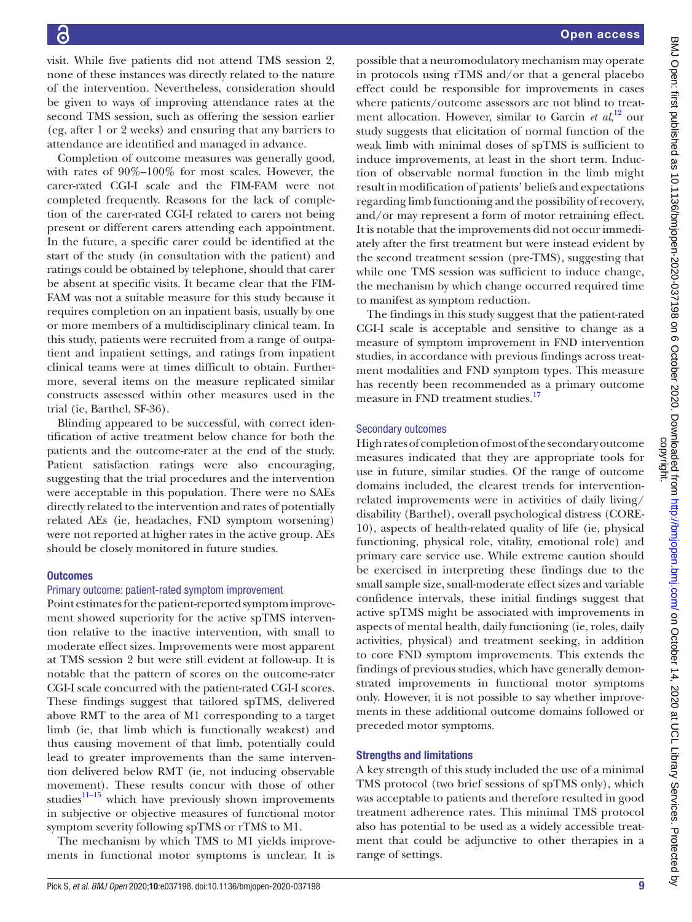visit. While five patients did not attend TMS session 2, none of these instances was directly related to the nature of the intervention. Nevertheless, consideration should be given to ways of improving attendance rates at the second TMS session, such as offering the session earlier (eg, after 1 or 2 weeks) and ensuring that any barriers to attendance are identified and managed in advance.

Completion of outcome measures was generally good, with rates of 90%–100% for most scales. However, the carer-rated CGI-I scale and the FIM-FAM were not completed frequently. Reasons for the lack of completion of the carer-rated CGI-I related to carers not being present or different carers attending each appointment. In the future, a specific carer could be identified at the start of the study (in consultation with the patient) and ratings could be obtained by telephone, should that carer be absent at specific visits. It became clear that the FIM-FAM was not a suitable measure for this study because it requires completion on an inpatient basis, usually by one or more members of a multidisciplinary clinical team. In this study, patients were recruited from a range of outpatient and inpatient settings, and ratings from inpatient clinical teams were at times difficult to obtain. Furthermore, several items on the measure replicated similar constructs assessed within other measures used in the trial (ie, Barthel, SF-36).

Blinding appeared to be successful, with correct identification of active treatment below chance for both the patients and the outcome-rater at the end of the study. Patient satisfaction ratings were also encouraging, suggesting that the trial procedures and the intervention were acceptable in this population. There were no SAEs directly related to the intervention and rates of potentially related AEs (ie, headaches, FND symptom worsening) were not reported at higher rates in the active group. AEs should be closely monitored in future studies.

# **Outcomes**

#### Primary outcome: patient-rated symptom improvement

Point estimates for the patient-reported symptom improvement showed superiority for the active spTMS intervention relative to the inactive intervention, with small to moderate effect sizes. Improvements were most apparent at TMS session 2 but were still evident at follow-up. It is notable that the pattern of scores on the outcome-rater CGI-I scale concurred with the patient-rated CGI-I scores. These findings suggest that tailored spTMS, delivered above RMT to the area of M1 corresponding to a target limb (ie, that limb which is functionally weakest) and thus causing movement of that limb, potentially could lead to greater improvements than the same intervention delivered below RMT (ie, not inducing observable movement). These results concur with those of other studies $11-15$  which have previously shown improvements in subjective or objective measures of functional motor symptom severity following spTMS or rTMS to M1.

The mechanism by which TMS to M1 yields improvements in functional motor symptoms is unclear. It is

possible that a neuromodulatory mechanism may operate in protocols using rTMS and/or that a general placebo effect could be responsible for improvements in cases where patients/outcome assessors are not blind to treatment allocation. However, similar to Garcin *et al*, [12](#page-10-19) our study suggests that elicitation of normal function of the weak limb with minimal doses of spTMS is sufficient to induce improvements, at least in the short term. Induction of observable normal function in the limb might result in modification of patients' beliefs and expectations regarding limb functioning and the possibility of recovery, and/or may represent a form of motor retraining effect. It is notable that the improvements did not occur immediately after the first treatment but were instead evident by the second treatment session (pre-TMS), suggesting that while one TMS session was sufficient to induce change, the mechanism by which change occurred required time to manifest as symptom reduction.

The findings in this study suggest that the patient-rated CGI-I scale is acceptable and sensitive to change as a measure of symptom improvement in FND intervention studies, in accordance with previous findings across treatment modalities and FND symptom types. This measure has recently been recommended as a primary outcome measure in FND treatment studies.<sup>[17](#page-10-20)</sup>

#### Secondary outcomes

High rates of completion of most of the secondary outcome measures indicated that they are appropriate tools for use in future, similar studies. Of the range of outcome domains included, the clearest trends for interventionrelated improvements were in activities of daily living/ disability (Barthel), overall psychological distress (CORE-10), aspects of health-related quality of life (ie, physical functioning, physical role, vitality, emotional role) and primary care service use. While extreme caution should be exercised in interpreting these findings due to the small sample size, small-moderate effect sizes and variable confidence intervals, these initial findings suggest that active spTMS might be associated with improvements in aspects of mental health, daily functioning (ie, roles, daily activities, physical) and treatment seeking, in addition to core FND symptom improvements. This extends the findings of previous studies, which have generally demonstrated improvements in functional motor symptoms only. However, it is not possible to say whether improvements in these additional outcome domains followed or preceded motor symptoms.

#### Strengths and limitations

A key strength of this study included the use of a minimal TMS protocol (two brief sessions of spTMS only), which was acceptable to patients and therefore resulted in good treatment adherence rates. This minimal TMS protocol also has potential to be used as a widely accessible treatment that could be adjunctive to other therapies in a range of settings.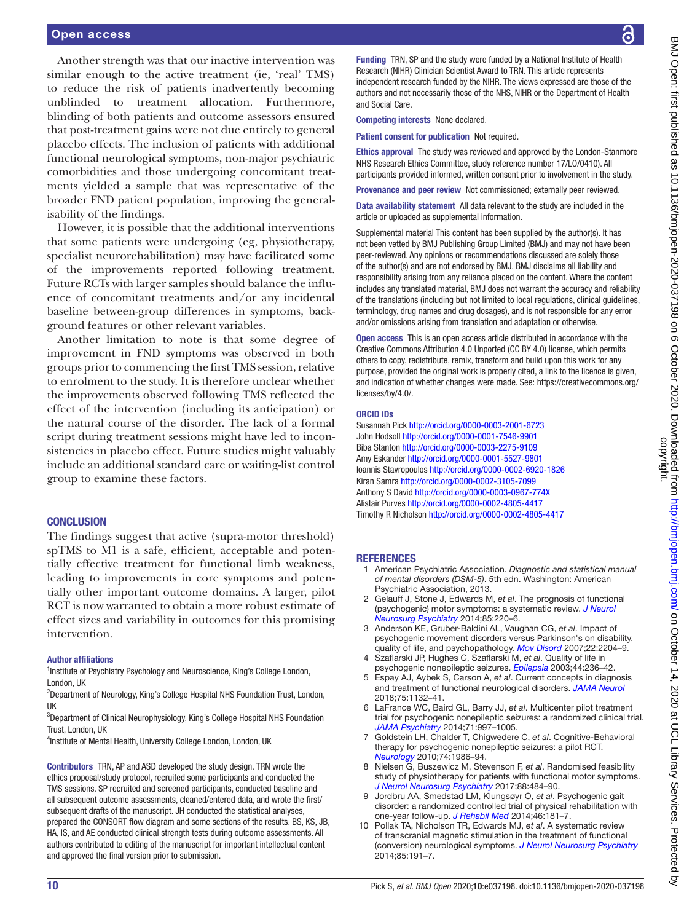्ट

#### Open access

Another strength was that our inactive intervention was similar enough to the active treatment (ie, 'real' TMS) to reduce the risk of patients inadvertently becoming unblinded to treatment allocation. Furthermore, blinding of both patients and outcome assessors ensured that post-treatment gains were not due entirely to general placebo effects. The inclusion of patients with additional functional neurological symptoms, non-major psychiatric comorbidities and those undergoing concomitant treatments yielded a sample that was representative of the broader FND patient population, improving the generalisability of the findings.

However, it is possible that the additional interventions that some patients were undergoing (eg, physiotherapy, specialist neurorehabilitation) may have facilitated some of the improvements reported following treatment. Future RCTs with larger samples should balance the influence of concomitant treatments and/or any incidental baseline between-group differences in symptoms, background features or other relevant variables.

Another limitation to note is that some degree of improvement in FND symptoms was observed in both groups prior to commencing the first TMS session, relative to enrolment to the study. It is therefore unclear whether the improvements observed following TMS reflected the effect of the intervention (including its anticipation) or the natural course of the disorder. The lack of a formal script during treatment sessions might have led to inconsistencies in placebo effect. Future studies might valuably include an additional standard care or waiting-list control group to examine these factors.

#### **CONCLUSION**

The findings suggest that active (supra-motor threshold) spTMS to M1 is a safe, efficient, acceptable and potentially effective treatment for functional limb weakness, leading to improvements in core symptoms and potentially other important outcome domains. A larger, pilot RCT is now warranted to obtain a more robust estimate of effect sizes and variability in outcomes for this promising intervention.

#### Author affiliations

<sup>1</sup>Institute of Psychiatry Psychology and Neuroscience, King's College London, London, UK

<sup>2</sup>Department of Neurology, King's College Hospital NHS Foundation Trust, London, UK

<sup>3</sup>Department of Clinical Neurophysiology, King's College Hospital NHS Foundation Trust, London, UK

<sup>4</sup>Institute of Mental Health, University College London, London, UK

Contributors TRN, AP and ASD developed the study design. TRN wrote the ethics proposal/study protocol, recruited some participants and conducted the TMS sessions. SP recruited and screened participants, conducted baseline and all subsequent outcome assessments, cleaned/entered data, and wrote the first/ subsequent drafts of the manuscript. JH conducted the statistical analyses, prepared the CONSORT flow diagram and some sections of the results. BS, KS, JB, HA, IS, and AE conducted clinical strength tests during outcome assessments. All authors contributed to editing of the manuscript for important intellectual content and approved the final version prior to submission.

Funding TRN, SP and the study were funded by a National Institute of Health Research (NIHR) Clinician Scientist Award to TRN. This article represents independent research funded by the NIHR. The views expressed are those of the authors and not necessarily those of the NHS, NIHR or the Department of Health and Social Care.

Competing interests None declared.

Patient consent for publication Not required.

Ethics approval The study was reviewed and approved by the London-Stanmore NHS Research Ethics Committee, study reference number 17/LO/0410). All participants provided informed, written consent prior to involvement in the study.

Provenance and peer review Not commissioned; externally peer reviewed.

Data availability statement All data relevant to the study are included in the article or uploaded as supplemental information.

Supplemental material This content has been supplied by the author(s). It has not been vetted by BMJ Publishing Group Limited (BMJ) and may not have been peer-reviewed. Any opinions or recommendations discussed are solely those of the author(s) and are not endorsed by BMJ. BMJ disclaims all liability and responsibility arising from any reliance placed on the content. Where the content includes any translated material, BMJ does not warrant the accuracy and reliability of the translations (including but not limited to local regulations, clinical guidelines, terminology, drug names and drug dosages), and is not responsible for any error and/or omissions arising from translation and adaptation or otherwise.

Open access This is an open access article distributed in accordance with the Creative Commons Attribution 4.0 Unported (CC BY 4.0) license, which permits others to copy, redistribute, remix, transform and build upon this work for any purpose, provided the original work is properly cited, a link to the licence is given, and indication of whether changes were made. See: [https://creativecommons.org/](https://creativecommons.org/licenses/by/4.0/) [licenses/by/4.0/](https://creativecommons.org/licenses/by/4.0/).

#### ORCID iDs

Susannah Pick<http://orcid.org/0000-0003-2001-6723> John Hodsoll <http://orcid.org/0000-0001-7546-9901> Biba Stanton<http://orcid.org/0000-0003-2275-9109> Amy Eskander<http://orcid.org/0000-0001-5527-9801> Ioannis Stavropoulos<http://orcid.org/0000-0002-6920-1826> Kiran Samra<http://orcid.org/0000-0002-3105-7099> Anthony S David<http://orcid.org/0000-0003-0967-774X> Alistair Purves<http://orcid.org/0000-0002-4805-4417> Timothy R Nicholson<http://orcid.org/0000-0002-4805-4417>

#### **REFERENCES**

- <span id="page-9-0"></span>1 American Psychiatric Association. *Diagnostic and statistical manual of mental disorders (DSM-5)*. 5th edn. Washington: American Psychiatric Association, 2013.
- <span id="page-9-1"></span>2 Gelauff J, Stone J, Edwards M, *et al*. The prognosis of functional (psychogenic) motor symptoms: a systematic review. *[J Neurol](http://dx.doi.org/10.1136/jnnp-2013-305321)  [Neurosurg Psychiatry](http://dx.doi.org/10.1136/jnnp-2013-305321)* 2014;85:220–6.
- 3 Anderson KE, Gruber-Baldini AL, Vaughan CG, *et al*. Impact of psychogenic movement disorders versus Parkinson's on disability, quality of life, and psychopathology. *[Mov Disord](http://dx.doi.org/10.1002/mds.21687)* 2007;22:2204–9.
- 4 Szaflarski JP, Hughes C, Szaflarski M, *et al*. Quality of life in psychogenic nonepileptic seizures. *[Epilepsia](http://dx.doi.org/10.1046/j.1528-1157.2003.35302.x)* 2003;44:236–42.
- <span id="page-9-2"></span>5 Espay AJ, Aybek S, Carson A, *et al*. Current concepts in diagnosis and treatment of functional neurological disorders. *[JAMA Neurol](http://dx.doi.org/10.1001/jamaneurol.2018.1264)* 2018;75:1132–41.
- <span id="page-9-3"></span>6 LaFrance WC, Baird GL, Barry JJ, *et al*. Multicenter pilot treatment trial for psychogenic nonepileptic seizures: a randomized clinical trial. *[JAMA Psychiatry](http://dx.doi.org/10.1001/jamapsychiatry.2014.817)* 2014;71:997–1005.
- <span id="page-9-5"></span>7 Goldstein LH, Chalder T, Chigwedere C, *et al*. Cognitive-Behavioral therapy for psychogenic nonepileptic seizures: a pilot RCT. *[Neurology](http://dx.doi.org/10.1212/WNL.0b013e3181e39658)* 2010;74:1986–94.
- 8 Nielsen G, Buszewicz M, Stevenson F, *et al*. Randomised feasibility study of physiotherapy for patients with functional motor symptoms. *[J Neurol Neurosurg Psychiatry](http://dx.doi.org/10.1136/jnnp-2016-314408)* 2017;88:484–90.
- 9 Jordbru AA, Smedstad LM, Klungsøyr O, *et al*. Psychogenic gait disorder: a randomized controlled trial of physical rehabilitation with one-year follow-up. *[J Rehabil Med](http://dx.doi.org/10.2340/16501977-1246)* 2014;46:181–7.
- <span id="page-9-4"></span>10 Pollak TA, Nicholson TR, Edwards MJ, *et al*. A systematic review of transcranial magnetic stimulation in the treatment of functional (conversion) neurological symptoms. *[J Neurol Neurosurg Psychiatry](http://dx.doi.org/10.1136/jnnp-2012-304181)* 2014;85:191–7.